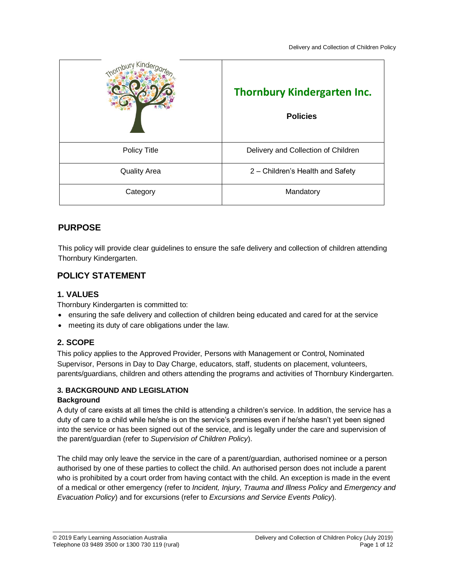|                     | <b>Thornbury Kindergarten Inc.</b><br><b>Policies</b> |
|---------------------|-------------------------------------------------------|
| Policy Title        | Delivery and Collection of Children                   |
| <b>Quality Area</b> | 2 - Children's Health and Safety                      |
| Category            | Mandatory                                             |

## **PURPOSE**

This policy will provide clear guidelines to ensure the safe delivery and collection of children attending Thornbury Kindergarten.

## **POLICY STATEMENT**

### **1. VALUES**

Thornbury Kindergarten is committed to:

- ensuring the safe delivery and collection of children being educated and cared for at the service
- meeting its duty of care obligations under the law.

## **2. SCOPE**

This policy applies to the Approved Provider, Persons with Management or Control, Nominated Supervisor, Persons in Day to Day Charge, educators, staff, students on placement, volunteers, parents/guardians, children and others attending the programs and activities of Thornbury Kindergarten.

### **3. BACKGROUND AND LEGISLATION**

### **Background**

A duty of care exists at all times the child is attending a children's service. In addition, the service has a duty of care to a child while he/she is on the service's premises even if he/she hasn't yet been signed into the service or has been signed out of the service, and is legally under the care and supervision of the parent/guardian (refer to *Supervision of Children Policy*).

The child may only leave the service in the care of a parent/guardian, authorised nominee or a person authorised by one of these parties to collect the child. An authorised person does not include a parent who is prohibited by a court order from having contact with the child. An exception is made in the event of a medical or other emergency (refer to *Incident, Injury, Trauma and Illness Policy* and *Emergency and Evacuation Policy*) and for excursions (refer to *Excursions and Service Events Policy*).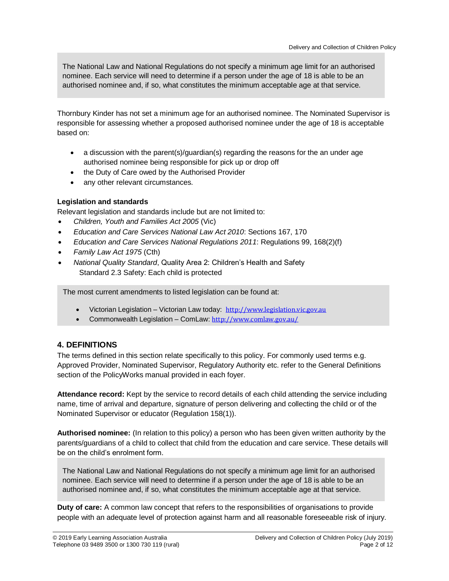The National Law and National Regulations do not specify a minimum age limit for an authorised nominee. Each service will need to determine if a person under the age of 18 is able to be an authorised nominee and, if so, what constitutes the minimum acceptable age at that service.

Thornbury Kinder has not set a minimum age for an authorised nominee. The Nominated Supervisor is responsible for assessing whether a proposed authorised nominee under the age of 18 is acceptable based on:

- a discussion with the parent(s)/guardian(s) regarding the reasons for the an under age authorised nominee being responsible for pick up or drop off
- the Duty of Care owed by the Authorised Provider
- any other relevant circumstances.

### **Legislation and standards**

Relevant legislation and standards include but are not limited to:

- *Children, Youth and Families Act 2005* (Vic)
- *Education and Care Services National Law Act 2010*: Sections 167, 170
- *Education and Care Services National Regulations 2011*: Regulations 99, 168(2)(f)
- *Family Law Act 1975* (Cth)
- *National Quality Standard*, Quality Area 2: Children's Health and Safety Standard 2.3 Safety: Each child is protected

The most current amendments to listed legislation can be found at:

- Victorian Legislation Victorian Law today: [http://www.legislation.vic.gov.au](http://www.legislation.vic.gov.au/)
- Commonwealth Legislation ComLaw: <http://www.comlaw.gov.au/>

## **4. DEFINITIONS**

The terms defined in this section relate specifically to this policy. For commonly used terms e.g. Approved Provider, Nominated Supervisor, Regulatory Authority etc. refer to the General Definitions section of the PolicyWorks manual provided in each foyer.

**Attendance record:** Kept by the service to record details of each child attending the service including name, time of arrival and departure, signature of person delivering and collecting the child or of the Nominated Supervisor or educator (Regulation 158(1)).

**Authorised nominee:** (In relation to this policy) a person who has been given written authority by the parents/guardians of a child to collect that child from the education and care service. These details will be on the child's enrolment form.

The National Law and National Regulations do not specify a minimum age limit for an authorised nominee. Each service will need to determine if a person under the age of 18 is able to be an authorised nominee and, if so, what constitutes the minimum acceptable age at that service.

**Duty of care:** A common law concept that refers to the responsibilities of organisations to provide people with an adequate level of protection against harm and all reasonable foreseeable risk of injury.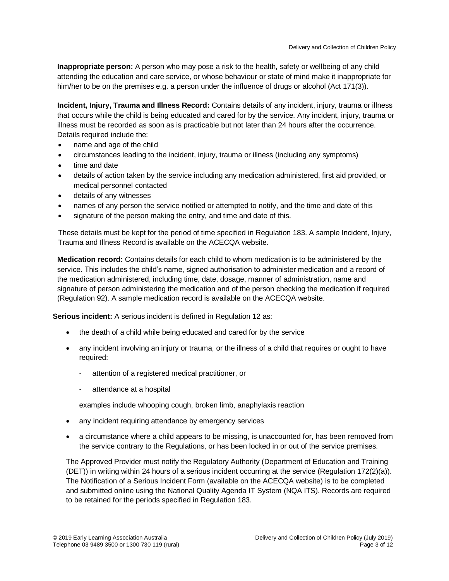**Inappropriate person:** A person who may pose a risk to the health, safety or wellbeing of any child attending the education and care service, or whose behaviour or state of mind make it inappropriate for him/her to be on the premises e.g. a person under the influence of drugs or alcohol (Act 171(3)).

**Incident, Injury, Trauma and Illness Record:** Contains details of any incident, injury, trauma or illness that occurs while the child is being educated and cared for by the service. Any incident, injury, trauma or illness must be recorded as soon as is practicable but not later than 24 hours after the occurrence. Details required include the:

- name and age of the child
- circumstances leading to the incident, injury, trauma or illness (including any symptoms)
- time and date
- details of action taken by the service including any medication administered, first aid provided, or medical personnel contacted
- details of any witnesses
- names of any person the service notified or attempted to notify, and the time and date of this
- signature of the person making the entry, and time and date of this.

These details must be kept for the period of time specified in Regulation 183. A sample Incident, Injury, Trauma and Illness Record is available on the ACECQA website.

**Medication record:** Contains details for each child to whom medication is to be administered by the service. This includes the child's name, signed authorisation to administer medication and a record of the medication administered, including time, date, dosage, manner of administration, name and signature of person administering the medication and of the person checking the medication if required (Regulation 92). A sample medication record is available on the ACECQA website.

**Serious incident:** A serious incident is defined in Regulation 12 as:

- the death of a child while being educated and cared for by the service
- any incident involving an injury or trauma, or the illness of a child that requires or ought to have required:
	- attention of a registered medical practitioner, or
	- attendance at a hospital

examples include whooping cough, broken limb, anaphylaxis reaction

- any incident requiring attendance by emergency services
- a circumstance where a child appears to be missing, is unaccounted for, has been removed from the service contrary to the Regulations, or has been locked in or out of the service premises.

The Approved Provider must notify the Regulatory Authority (Department of Education and Training (DET)) in writing within 24 hours of a serious incident occurring at the service (Regulation 172(2)(a)). The Notification of a Serious Incident Form (available on the ACECQA website) is to be completed and submitted online using the National Quality Agenda IT System (NQA ITS). Records are required to be retained for the periods specified in Regulation 183.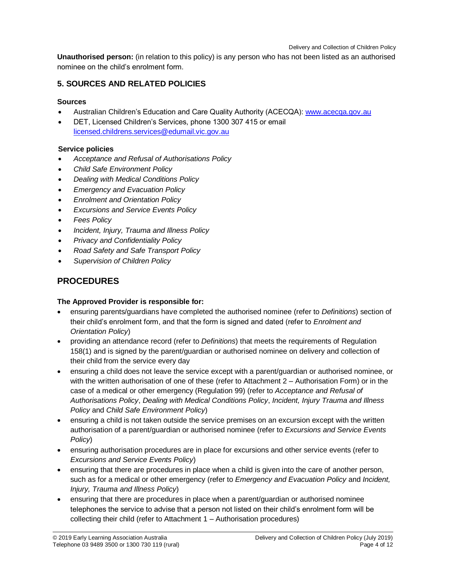**Unauthorised person:** (in relation to this policy) is any person who has not been listed as an authorised nominee on the child's enrolment form.

## **5. SOURCES AND RELATED POLICIES**

### **Sources**

- Australian Children's Education and Care Quality Authority (ACECQA): [www.acecqa.gov.au](http://www.acecqa.gov.au/)
- DET, Licensed Children's Services, phone 1300 307 415 or email [licensed.childrens.services@edumail.vic.gov.au](mailto:licensed.childrens.services@edumail.vic.gov.au)

### **Service policies**

- *Acceptance and Refusal of Authorisations Policy*
- *Child Safe Environment Policy*
- *Dealing with Medical Conditions Policy*
- *Emergency and Evacuation Policy*
- *Enrolment and Orientation Policy*
- *Excursions and Service Events Policy*
- *Fees Policy*
- *Incident, Injury, Trauma and Illness Policy*
- *Privacy and Confidentiality Policy*
- *Road Safety and Safe Transport Policy*
- *Supervision of Children Policy*

# **PROCEDURES**

### **The Approved Provider is responsible for:**

- ensuring parents/guardians have completed the authorised nominee (refer to *Definitions*) section of their child's enrolment form, and that the form is signed and dated (refer to *Enrolment and Orientation Policy*)
- providing an attendance record (refer to *Definitions*) that meets the requirements of Regulation 158(1) and is signed by the parent/guardian or authorised nominee on delivery and collection of their child from the service every day
- ensuring a child does not leave the service except with a parent/guardian or authorised nominee, or with the written authorisation of one of these (refer to Attachment 2 – Authorisation Form) or in the case of a medical or other emergency (Regulation 99) (refer to *Acceptance and Refusal of Authorisations Policy*, *Dealing with Medical Conditions Policy*, *Incident, Injury Trauma and Illness Policy* and *Child Safe Environment Policy*)
- ensuring a child is not taken outside the service premises on an excursion except with the written authorisation of a parent/guardian or authorised nominee (refer to *Excursions and Service Events Policy*)
- ensuring authorisation procedures are in place for excursions and other service events (refer to *Excursions and Service Events Policy*)
- ensuring that there are procedures in place when a child is given into the care of another person, such as for a medical or other emergency (refer to *Emergency and Evacuation Policy* and *Incident, Injury, Trauma and Illness Policy*)
- ensuring that there are procedures in place when a parent/guardian or authorised nominee telephones the service to advise that a person not listed on their child's enrolment form will be collecting their child (refer to Attachment 1 – Authorisation procedures)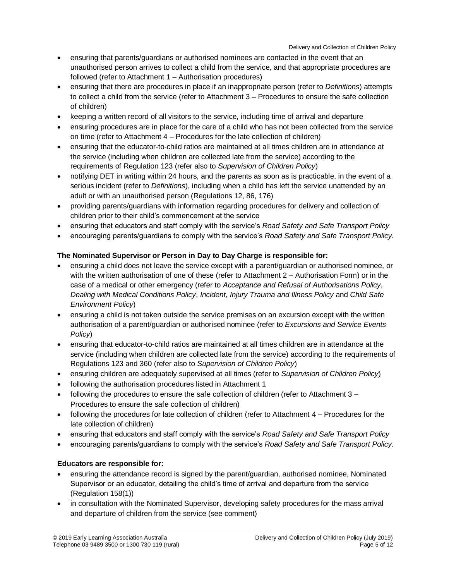- ensuring that parents/guardians or authorised nominees are contacted in the event that an unauthorised person arrives to collect a child from the service, and that appropriate procedures are followed (refer to Attachment 1 – Authorisation procedures)
- ensuring that there are procedures in place if an inappropriate person (refer to *Definitions*) attempts to collect a child from the service (refer to Attachment 3 – Procedures to ensure the safe collection of children)
- keeping a written record of all visitors to the service, including time of arrival and departure
- ensuring procedures are in place for the care of a child who has not been collected from the service on time (refer to Attachment 4 – Procedures for the late collection of children)
- ensuring that the educator-to-child ratios are maintained at all times children are in attendance at the service (including when children are collected late from the service) according to the requirements of Regulation 123 (refer also to *Supervision of Children Policy*)
- notifying DET in writing within 24 hours, and the parents as soon as is practicable, in the event of a serious incident (refer to *Definitions*), including when a child has left the service unattended by an adult or with an unauthorised person (Regulations 12, 86, 176)
- providing parents/guardians with information regarding procedures for delivery and collection of children prior to their child's commencement at the service
- ensuring that educators and staff comply with the service's *Road Safety and Safe Transport Policy*
- encouraging parents/guardians to comply with the service's *Road Safety and Safe Transport Policy*.

#### **The Nominated Supervisor or Person in Day to Day Charge is responsible for:**

- ensuring a child does not leave the service except with a parent/guardian or authorised nominee, or with the written authorisation of one of these (refer to Attachment 2 – Authorisation Form) or in the case of a medical or other emergency (refer to *Acceptance and Refusal of Authorisations Policy*, *Dealing with Medical Conditions Policy*, *Incident, Injury Trauma and Illness Policy* and *Child Safe Environment Policy*)
- ensuring a child is not taken outside the service premises on an excursion except with the written authorisation of a parent/guardian or authorised nominee (refer to *Excursions and Service Events Policy*)
- ensuring that educator-to-child ratios are maintained at all times children are in attendance at the service (including when children are collected late from the service) according to the requirements of Regulations 123 and 360 (refer also to *Supervision of Children Policy*)
- ensuring children are adequately supervised at all times (refer to *Supervision of Children Policy*)
- following the authorisation procedures listed in Attachment 1
- following the procedures to ensure the safe collection of children (refer to Attachment 3 Procedures to ensure the safe collection of children)
- following the procedures for late collection of children (refer to Attachment 4 Procedures for the late collection of children)
- ensuring that educators and staff comply with the service's *Road Safety and Safe Transport Policy*
- encouraging parents/guardians to comply with the service's *Road Safety and Safe Transport Policy*.

#### **Educators are responsible for:**

- ensuring the attendance record is signed by the parent/guardian, authorised nominee, Nominated Supervisor or an educator, detailing the child's time of arrival and departure from the service (Regulation 158(1))
- in consultation with the Nominated Supervisor, developing safety procedures for the mass arrival and departure of children from the service (see comment)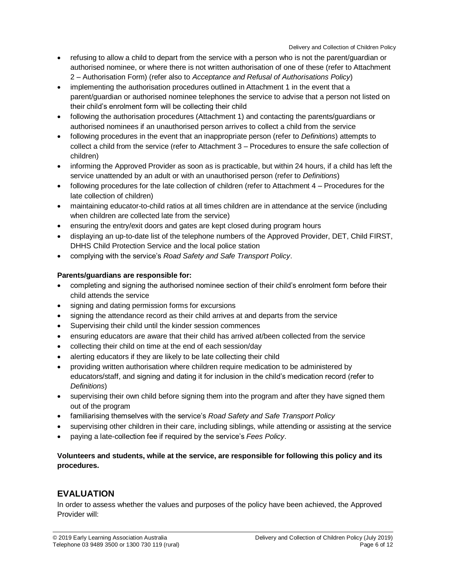- refusing to allow a child to depart from the service with a person who is not the parent/guardian or authorised nominee, or where there is not written authorisation of one of these (refer to Attachment 2 – Authorisation Form) (refer also to *Acceptance and Refusal of Authorisations Policy*)
- implementing the authorisation procedures outlined in Attachment 1 in the event that a parent/guardian or authorised nominee telephones the service to advise that a person not listed on their child's enrolment form will be collecting their child
- following the authorisation procedures (Attachment 1) and contacting the parents/guardians or authorised nominees if an unauthorised person arrives to collect a child from the service
- following procedures in the event that an inappropriate person (refer to *Definitions*) attempts to collect a child from the service (refer to Attachment 3 – Procedures to ensure the safe collection of children)
- informing the Approved Provider as soon as is practicable, but within 24 hours, if a child has left the service unattended by an adult or with an unauthorised person (refer to *Definitions*)
- following procedures for the late collection of children (refer to Attachment 4 Procedures for the late collection of children)
- maintaining educator-to-child ratios at all times children are in attendance at the service (including when children are collected late from the service)
- ensuring the entry/exit doors and gates are kept closed during program hours
- displaying an up-to-date list of the telephone numbers of the Approved Provider, DET, Child FIRST, DHHS Child Protection Service and the local police station
- complying with the service's *Road Safety and Safe Transport Policy*.

### **Parents/guardians are responsible for:**

- completing and signing the authorised nominee section of their child's enrolment form before their child attends the service
- signing and dating permission forms for excursions
- signing the attendance record as their child arrives at and departs from the service
- Supervising their child until the kinder session commences
- ensuring educators are aware that their child has arrived at/been collected from the service
- collecting their child on time at the end of each session/day
- alerting educators if they are likely to be late collecting their child
- providing written authorisation where children require medication to be administered by educators/staff, and signing and dating it for inclusion in the child's medication record (refer to *Definitions*)
- supervising their own child before signing them into the program and after they have signed them out of the program
- familiarising themselves with the service's *Road Safety and Safe Transport Policy*
- supervising other children in their care, including siblings, while attending or assisting at the service
- paying a late-collection fee if required by the service's *Fees Policy*.

### **Volunteers and students, while at the service, are responsible for following this policy and its procedures.**

## **EVALUATION**

In order to assess whether the values and purposes of the policy have been achieved, the Approved Provider will: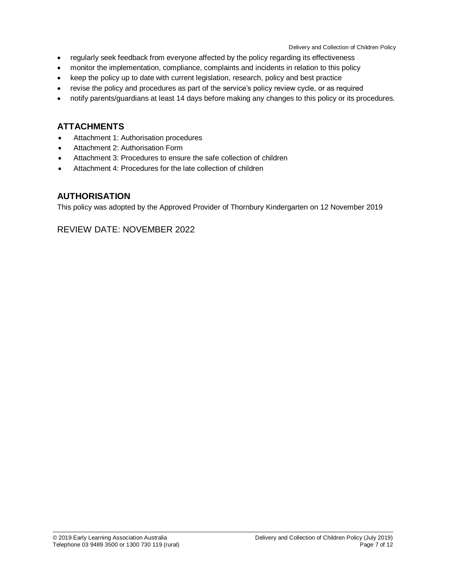- regularly seek feedback from everyone affected by the policy regarding its effectiveness
- monitor the implementation, compliance, complaints and incidents in relation to this policy
- keep the policy up to date with current legislation, research, policy and best practice
- revise the policy and procedures as part of the service's policy review cycle, or as required
- notify parents/guardians at least 14 days before making any changes to this policy or its procedures.

## **ATTACHMENTS**

- Attachment 1: Authorisation procedures
- Attachment 2: Authorisation Form
- Attachment 3: Procedures to ensure the safe collection of children
- Attachment 4: Procedures for the late collection of children

## **AUTHORISATION**

This policy was adopted by the Approved Provider of Thornbury Kindergarten on 12 November 2019

## REVIEW DATE: NOVEMBER 2022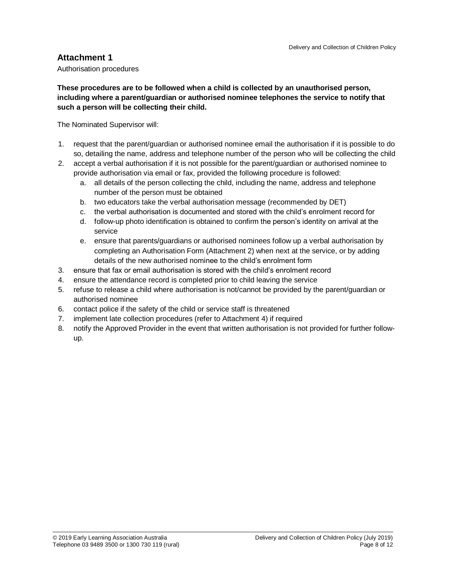Authorisation procedures

**These procedures are to be followed when a child is collected by an unauthorised person, including where a parent/guardian or authorised nominee telephones the service to notify that such a person will be collecting their child.**

The Nominated Supervisor will:

- 1. request that the parent/guardian or authorised nominee email the authorisation if it is possible to do so, detailing the name, address and telephone number of the person who will be collecting the child
- 2. accept a verbal authorisation if it is not possible for the parent/guardian or authorised nominee to provide authorisation via email or fax, provided the following procedure is followed:
	- a. all details of the person collecting the child, including the name, address and telephone number of the person must be obtained
	- b. two educators take the verbal authorisation message (recommended by DET)
	- c. the verbal authorisation is documented and stored with the child's enrolment record for
	- d. follow-up photo identification is obtained to confirm the person's identity on arrival at the service
	- e. ensure that parents/guardians or authorised nominees follow up a verbal authorisation by completing an Authorisation Form (Attachment 2) when next at the service, or by adding details of the new authorised nominee to the child's enrolment form
- 3. ensure that fax or email authorisation is stored with the child's enrolment record
- 4. ensure the attendance record is completed prior to child leaving the service
- 5. refuse to release a child where authorisation is not/cannot be provided by the parent/guardian or authorised nominee
- 6. contact police if the safety of the child or service staff is threatened
- 7. implement late collection procedures (refer to Attachment 4) if required
- 8. notify the Approved Provider in the event that written authorisation is not provided for further followup.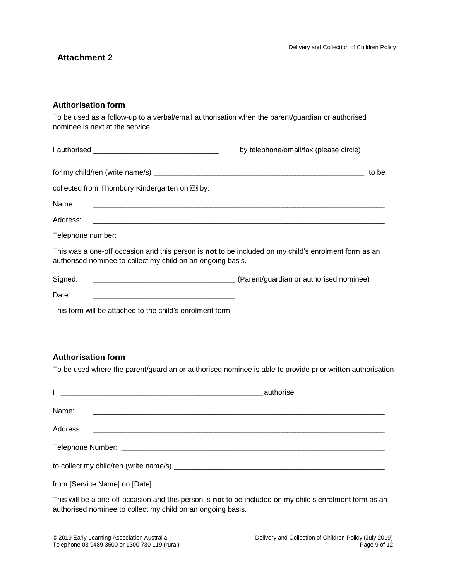### **Authorisation form**

To be used as a follow-up to a verbal/email authorisation when the parent/guardian or authorised nominee is next at the service

|                                                                                                                                                                     | by telephone/email/fax (please circle)                                                                                |       |
|---------------------------------------------------------------------------------------------------------------------------------------------------------------------|-----------------------------------------------------------------------------------------------------------------------|-------|
|                                                                                                                                                                     |                                                                                                                       | to be |
| collected from Thornbury Kindergarten on <b>Example 20</b> by:                                                                                                      |                                                                                                                       |       |
| Name:                                                                                                                                                               | <u> 1980 - Johann Barn, mars et al. (1980), et al. (1980), et al. (1980), et al. (1980), et al. (1980), et al. (1</u> |       |
|                                                                                                                                                                     |                                                                                                                       |       |
|                                                                                                                                                                     |                                                                                                                       |       |
| This was a one-off occasion and this person is not to be included on my child's enrolment form as an<br>authorised nominee to collect my child on an ongoing basis. |                                                                                                                       |       |
| Signed:                                                                                                                                                             | (Parent/guardian or authorised nominee) (2008)                                                                        |       |
| Date:                                                                                                                                                               |                                                                                                                       |       |
| This form will be attached to the child's enrolment form.                                                                                                           |                                                                                                                       |       |

### **Authorisation form**

To be used where the parent/guardian or authorised nominee is able to provide prior written authorisation

 $\_$  , and the set of the set of the set of the set of the set of the set of the set of the set of the set of the set of the set of the set of the set of the set of the set of the set of the set of the set of the set of th

| Name:                          |  |
|--------------------------------|--|
| Address:                       |  |
|                                |  |
|                                |  |
| from [Service Name] on [Date]. |  |

This will be a one-off occasion and this person is **not** to be included on my child's enrolment form as an authorised nominee to collect my child on an ongoing basis.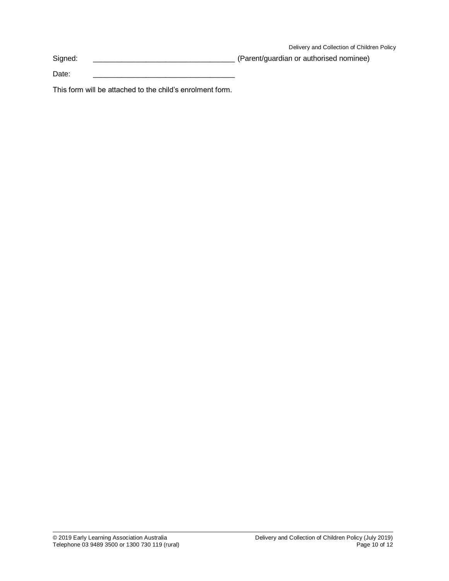Signed: \_\_\_\_\_\_\_\_\_\_\_\_\_\_\_\_\_\_\_\_\_\_\_\_\_\_\_\_\_\_\_\_\_\_\_ (Parent/guardian or authorised nominee)

Date: \_\_\_\_\_\_\_\_\_\_\_\_\_\_\_\_\_\_\_\_\_\_\_\_\_\_\_\_\_\_\_\_\_\_\_

This form will be attached to the child's enrolment form.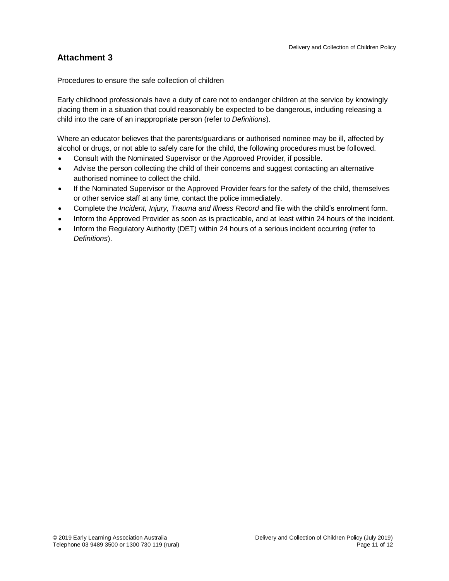Procedures to ensure the safe collection of children

Early childhood professionals have a duty of care not to endanger children at the service by knowingly placing them in a situation that could reasonably be expected to be dangerous, including releasing a child into the care of an inappropriate person (refer to *Definitions*).

Where an educator believes that the parents/guardians or authorised nominee may be ill, affected by alcohol or drugs, or not able to safely care for the child, the following procedures must be followed.

- Consult with the Nominated Supervisor or the Approved Provider, if possible.
- Advise the person collecting the child of their concerns and suggest contacting an alternative authorised nominee to collect the child.
- If the Nominated Supervisor or the Approved Provider fears for the safety of the child, themselves or other service staff at any time, contact the police immediately.
- Complete the *Incident, Injury, Trauma and Illness Record* and file with the child's enrolment form.
- Inform the Approved Provider as soon as is practicable, and at least within 24 hours of the incident.
- Inform the Regulatory Authority (DET) within 24 hours of a serious incident occurring (refer to *Definitions*).